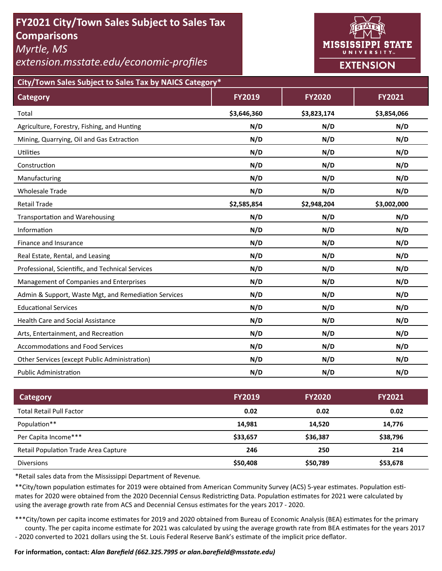# **FY2021 City/Town Sales Subject to Sales Tax Comparisons**

*Myrtle, MS* 

*extension.msstate.edu/economic‐profiles* 



**City/Town Sales Subject to Sales Tax by NAICS Category\***

| <b>Category</b>                                      | <b>FY2019</b> | <b>FY2020</b> | FY2021      |
|------------------------------------------------------|---------------|---------------|-------------|
| Total                                                | \$3,646,360   | \$3,823,174   | \$3,854,066 |
| Agriculture, Forestry, Fishing, and Hunting          | N/D           | N/D           | N/D         |
| Mining, Quarrying, Oil and Gas Extraction            | N/D           | N/D           | N/D         |
| Utilities                                            | N/D           | N/D           | N/D         |
| Construction                                         | N/D           | N/D           | N/D         |
| Manufacturing                                        | N/D           | N/D           | N/D         |
| <b>Wholesale Trade</b>                               | N/D           | N/D           | N/D         |
| <b>Retail Trade</b>                                  | \$2,585,854   | \$2,948,204   | \$3,002,000 |
| <b>Transportation and Warehousing</b>                | N/D           | N/D           | N/D         |
| Information                                          | N/D           | N/D           | N/D         |
| Finance and Insurance                                | N/D           | N/D           | N/D         |
| Real Estate, Rental, and Leasing                     | N/D           | N/D           | N/D         |
| Professional, Scientific, and Technical Services     | N/D           | N/D           | N/D         |
| Management of Companies and Enterprises              | N/D           | N/D           | N/D         |
| Admin & Support, Waste Mgt, and Remediation Services | N/D           | N/D           | N/D         |
| <b>Educational Services</b>                          | N/D           | N/D           | N/D         |
| <b>Health Care and Social Assistance</b>             | N/D           | N/D           | N/D         |
| Arts, Entertainment, and Recreation                  | N/D           | N/D           | N/D         |
| <b>Accommodations and Food Services</b>              | N/D           | N/D           | N/D         |
| Other Services (except Public Administration)        | N/D           | N/D           | N/D         |
| <b>Public Administration</b>                         | N/D           | N/D           | N/D         |

| <b>Category</b>                             | <b>FY2019</b> | <b>FY2020</b> | <b>FY2021</b> |
|---------------------------------------------|---------------|---------------|---------------|
| <b>Total Retail Pull Factor</b>             | 0.02          | 0.02          | 0.02          |
| Population**                                | 14,981        | 14.520        | 14,776        |
| Per Capita Income***                        | \$33,657      | \$36,387      | \$38,796      |
| <b>Retail Population Trade Area Capture</b> | 246           | 250           | 214           |
| <b>Diversions</b>                           | \$50,408      | \$50,789      | \$53,678      |

\*Retail sales data from the Mississippi Department of Revenue*.* 

\*\*City/town population estimates for 2019 were obtained from American Community Survey (ACS) 5-year estimates. Population estimates for 2020 were obtained from the 2020 Decennial Census Redistricting Data. Population estimates for 2021 were calculated by using the average growth rate from ACS and Decennial Census estimates for the years 2017 - 2020.

\*\*\*City/town per capita income estimates for 2019 and 2020 obtained from Bureau of Economic Analysis (BEA) estimates for the primary county. The per capita income estimate for 2021 was calculated by using the average growth rate from BEA estimates for the years 2017 - 2020 converted to 2021 dollars using the St. Louis Federal Reserve Bank's estimate of the implicit price deflator.

### **For informaƟon, contact:** *Alan Barefield (662.325.7995 or alan.barefield@msstate.edu)*